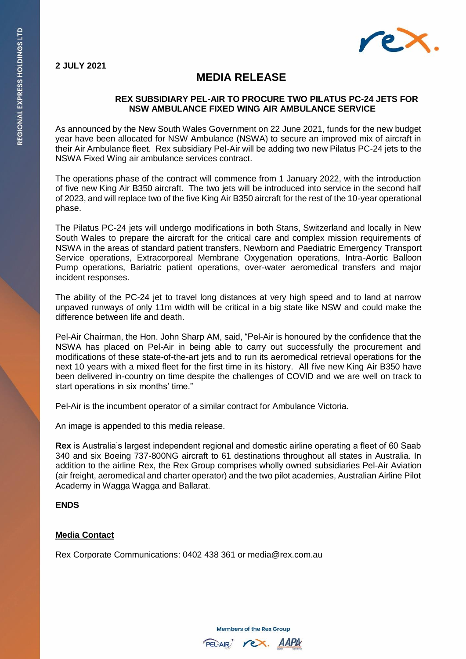

## **MEDIA RELEASE**

## **REX SUBSIDIARY PEL-AIR TO PROCURE TWO PILATUS PC-24 JETS FOR NSW AMBULANCE FIXED WING AIR AMBULANCE SERVICE**

As announced by the New South Wales Government on 22 June 2021, funds for the new budget year have been allocated for NSW Ambulance (NSWA) to secure an improved mix of aircraft in their Air Ambulance fleet. Rex subsidiary Pel-Air will be adding two new Pilatus PC-24 jets to the NSWA Fixed Wing air ambulance services contract.

The operations phase of the contract will commence from 1 January 2022, with the introduction of five new King Air B350 aircraft. The two jets will be introduced into service in the second half of 2023, and will replace two of the five King Air B350 aircraft for the rest of the 10-year operational phase.

The Pilatus PC-24 jets will undergo modifications in both Stans, Switzerland and locally in New South Wales to prepare the aircraft for the critical care and complex mission requirements of NSWA in the areas of standard patient transfers, Newborn and Paediatric Emergency Transport Service operations, Extracorporeal Membrane Oxygenation operations, Intra-Aortic Balloon Pump operations, Bariatric patient operations, over-water aeromedical transfers and major incident responses.

The ability of the PC-24 jet to travel long distances at very high speed and to land at narrow unpaved runways of only 11m width will be critical in a big state like NSW and could make the difference between life and death.

Pel-Air Chairman, the Hon. John Sharp AM, said, "Pel-Air is honoured by the confidence that the NSWA has placed on Pel-Air in being able to carry out successfully the procurement and modifications of these state-of-the-art jets and to run its aeromedical retrieval operations for the next 10 years with a mixed fleet for the first time in its history. All five new King Air B350 have been delivered in-country on time despite the challenges of COVID and we are well on track to start operations in six months' time."

Pel-Air is the incumbent operator of a similar contract for Ambulance Victoria.

An image is appended to this media release.

**Rex** is Australia's largest independent regional and domestic airline operating a fleet of 60 Saab 340 and six Boeing 737-800NG aircraft to 61 destinations throughout all states in Australia. In addition to the airline Rex, the Rex Group comprises wholly owned subsidiaries Pel-Air Aviation (air freight, aeromedical and charter operator) and the two pilot academies, Australian Airline Pilot Academy in Wagga Wagga and Ballarat.

## **ENDS**

## **Media Contact**

Rex Corporate Communications: 0402 438 361 or [media@rex.com.au](mailto:media@rex.com.au)

**Members of the Rex Group**